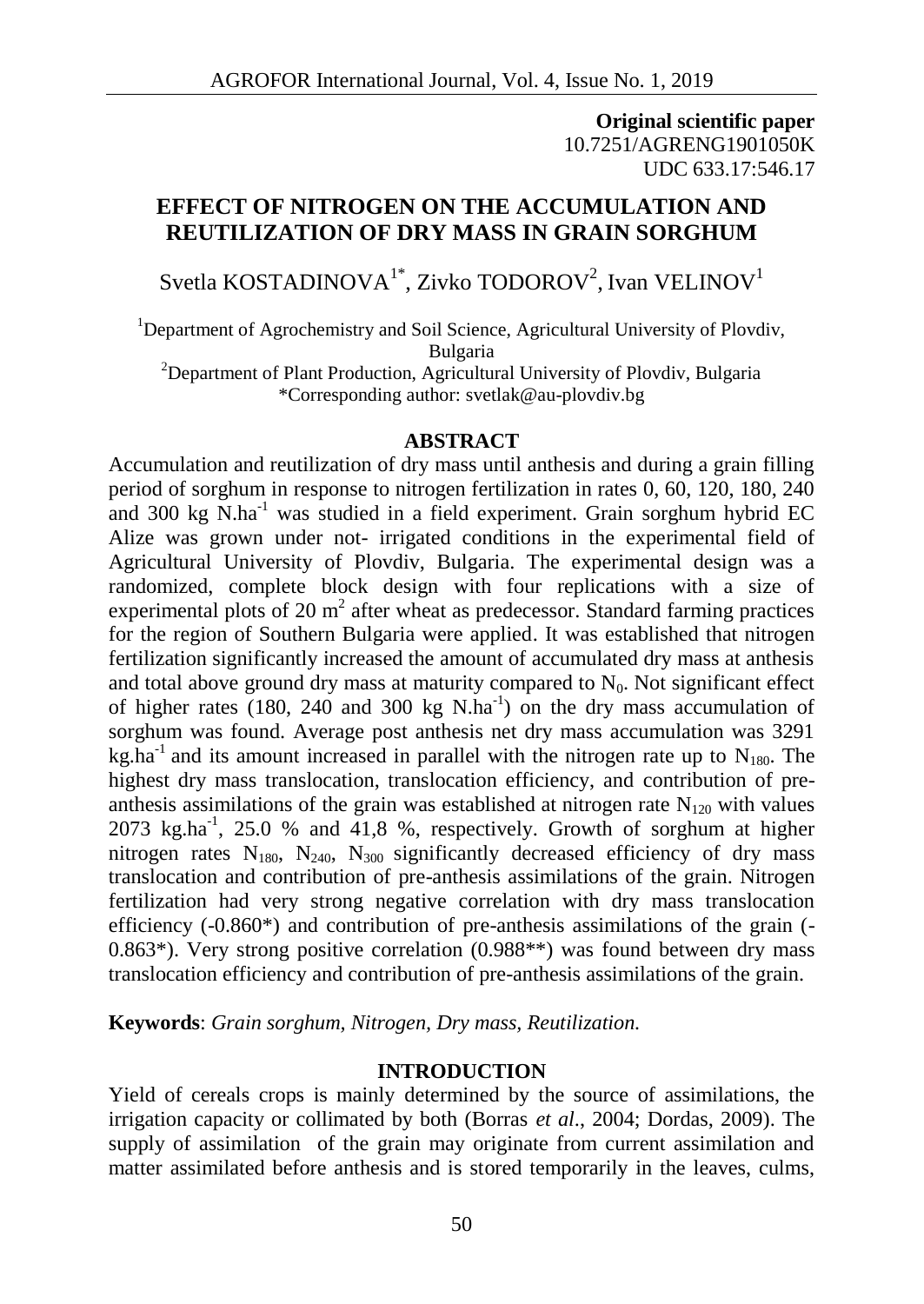**Original scientific paper** 10.7251/AGRENG1901050K UDC 633.17:546.17

# **EFFECT OF NITROGEN ON THE ACCUMULATION AND REUTILIZATION OF DRY MASS IN GRAIN SORGHUM**

Svetla KOSTADINOVA $^{1\ast}$ , Zivko TODOROV $^2$ , Ivan VELINOV $^1$ 

<sup>1</sup>Department of Agrochemistry and Soil Science, Agricultural University of Plovdiv, Bulgaria

<sup>2</sup>Department of Plant Production, Agricultural University of Plovdiv, Bulgaria \*Corresponding author: svetlak@au-plovdiv.bg

### **ABSTRACT**

Accumulation and reutilization of dry mass until anthesis and during a grain filling period of sorghum in response to nitrogen fertilization in rates 0, 60, 120, 180, 240 and 300 kg  $\overline{N}$ .ha<sup>-1</sup> was studied in a field experiment. Grain sorghum hybrid EC Alize was grown under not- irrigated conditions in the experimental field of Agricultural University of Plovdiv, Bulgaria. The experimental design was a randomized, complete block design with four replications with a size of experimental plots of 20  $m^2$  after wheat as predecessor. Standard farming practices for the region of Southern Bulgaria were applied. It was established that nitrogen fertilization significantly increased the amount of accumulated dry mass at anthesis and total above ground dry mass at maturity compared to  $N_0$ . Not significant effect of higher rates (180, 240 and 300 kg  $N.ha^{-1}$ ) on the dry mass accumulation of sorghum was found. Average post anthesis net dry mass accumulation was 3291 kg.ha<sup>-1</sup> and its amount increased in parallel with the nitrogen rate up to  $N_{180}$ . The highest dry mass translocation, translocation efficiency, and contribution of pre anthesis assimilations of the grain was established at nitrogen rate  $N_{120}$  with values  $2073 \text{ kg.ha}^{-1}$ ,  $25.0 \text{ % and } 41,8 \text{ %, respectively. Growth of sorghum at higher$ nitrogen rates  $N_{180}$ ,  $N_{240}$ ,  $N_{300}$  significantly decreased efficiency of dry mass translocation and contribution of pre-anthesis assimilations of the grain. Nitrogen fertilization had very strong negative correlation with dry mass translocation efficiency (-0.860\*) and contribution of pre-anthesis assimilations of the grain (- 0.863\*). Very strong positive correlation (0.988\*\*) was found between dry mass translocation efficiency and contribution of pre-anthesis assimilations of the grain.

**Keywords**: *Grain sorghum, Nitrogen, Dry mass, Reutilization.*

### **INTRODUCTION**

Yield of cereals crops is mainly determined by the source of assimilations, the irrigation capacity or collimated by both (Borras *et al*., 2004; Dordas, 2009). The supply of assimilation of the grain may originate from current assimilation and matter assimilated before anthesis and is stored temporarily in the leaves, culms,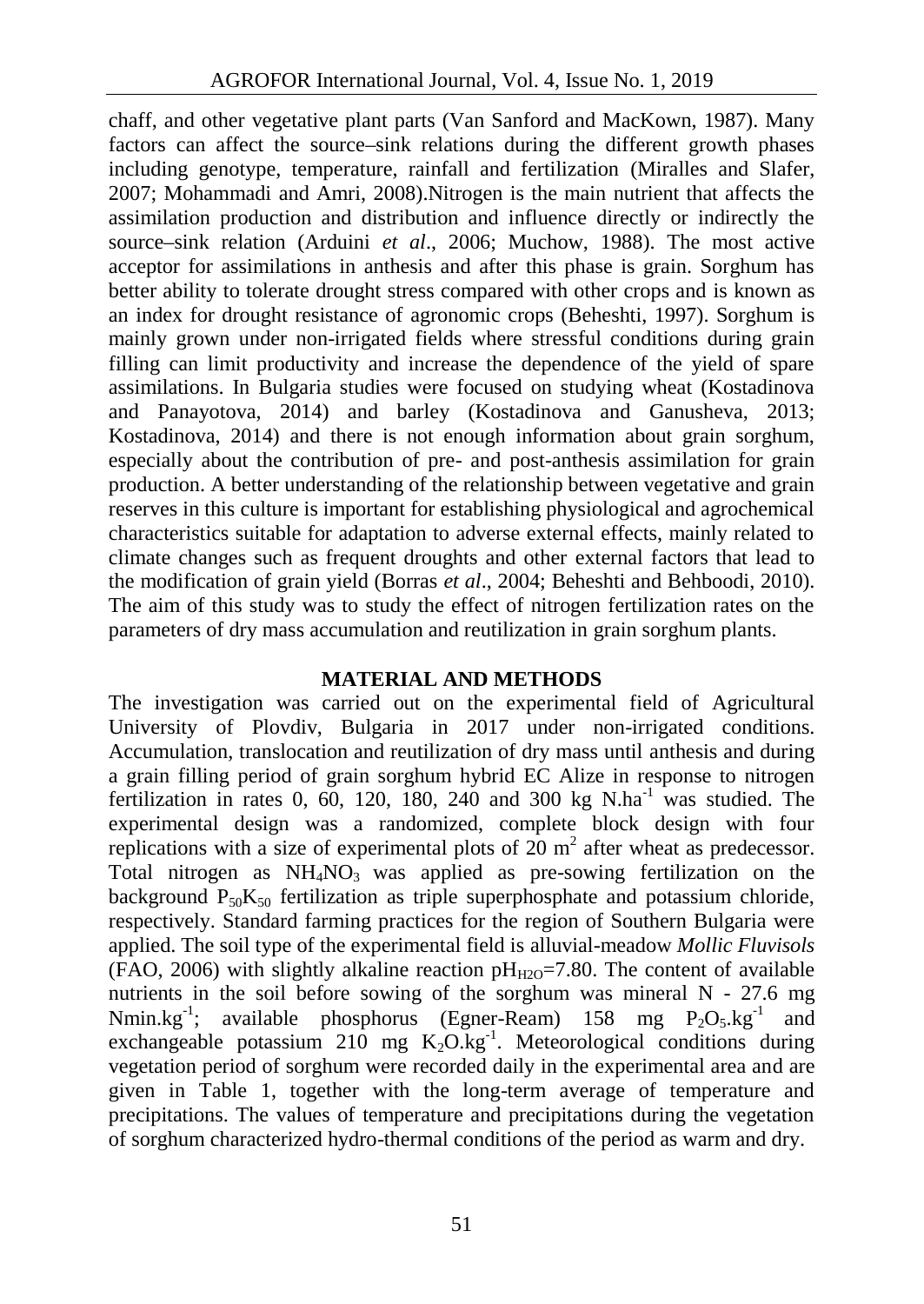chaff, and other vegetative plant parts (Van Sanford and MacKown, 1987). Many factors can affect the source–sink relations during the different growth phases including genotype, temperature, rainfall and fertilization (Miralles and Slafer, 2007; Mohammadi and Amri, 2008).Nitrogen is the main nutrient that affects the assimilation production and distribution and influence directly or indirectly the source–sink relation (Arduini *et al*., 2006; Muchow, 1988). The most active acceptor for assimilations in anthesis and after this phase is grain. Sorghum has better ability to tolerate drought stress compared with other crops and is known as an index for drought resistance of agronomic crops (Beheshti, 1997). Sorghum is mainly grown under non-irrigated fields where stressful conditions during grain filling can limit productivity and increase the dependence of the yield of spare assimilations. In Bulgaria studies were focused on studying wheat (Kostadinova and Panayotova, 2014) and barley (Kostadinova and Ganusheva, 2013; Kostadinova, 2014) and there is not enough information about grain sorghum, especially about the contribution of pre- and post-anthesis assimilation for grain production. A better understanding of the relationship between vegetative and grain reserves in this culture is important for establishing physiological and agrochemical characteristics suitable for adaptation to adverse external effects, mainly related to climate changes such as frequent droughts and other external factors that lead to the modification of grain yield (Borr s *et al.*, 2004; Beheshti and Behboodi, 2010). The aim of this study was to study the effect of nitrogen fertilization rates on the parameters of dry mass accumulation and reutilization in grain sorghum plants.

### **MATERIAL AND METHODS**

The investigation was carried out on the experimental field of Agricultural University of Plovdiv, Bulgaria in 2017 under non-irrigated conditions. Accumulation, translocation and reutilization of dry mass until anthesis and during a grain filling period of grain sorghum hybrid EC Alize in response to nitrogen fertilization in rates 0, 60, 120, 180, 240 and 300 kg  $N.ha^{-1}$  was studied. The experimental design was a randomized, complete block design with four replications with a size of experimental plots of  $20 \text{ m}^2$  after wheat as predecessor. Total nitrogen as  $NH<sub>4</sub>NO<sub>3</sub>$  was applied as pre-sowing fertilization on the background  $P_{50}K_{50}$  fertilization as triple superphosphate and potassium chloride, respectively. Standard farming practices for the region of Southern Bulgaria were applied. The soil type of the experimental field is alluvial-meadow *Mollic Fluvisols* (FAO, 2006) with slightly alkaline reaction  $pH_{H2O}=7.80$ . The content of available nutrients in the soil before sowing of the sorghum was mineral N - 27.6 mg<br>Nmin.kg<sup>-1</sup>: available phosphorus (Egner-Ream) 158 mg  $P_2O_5.kg^{-1}$  and Nmin.kg<sup>-1</sup>; available phosphorus (Egner-Ream) 158 mg  $P_2O_5 kg^{-1}$  and exchangeable potassium  $210$  mg  $K_2O/kg^{-1}$ . Meteorological conditions during vegetation period of sorghum were recorded daily in the experimental area and are given in Table 1, together with the long-term average of temperature and precipitations. The values of temperature and precipitations during the vegetation of sorghum characterized hydro-thermal conditions of the period as warm and dry.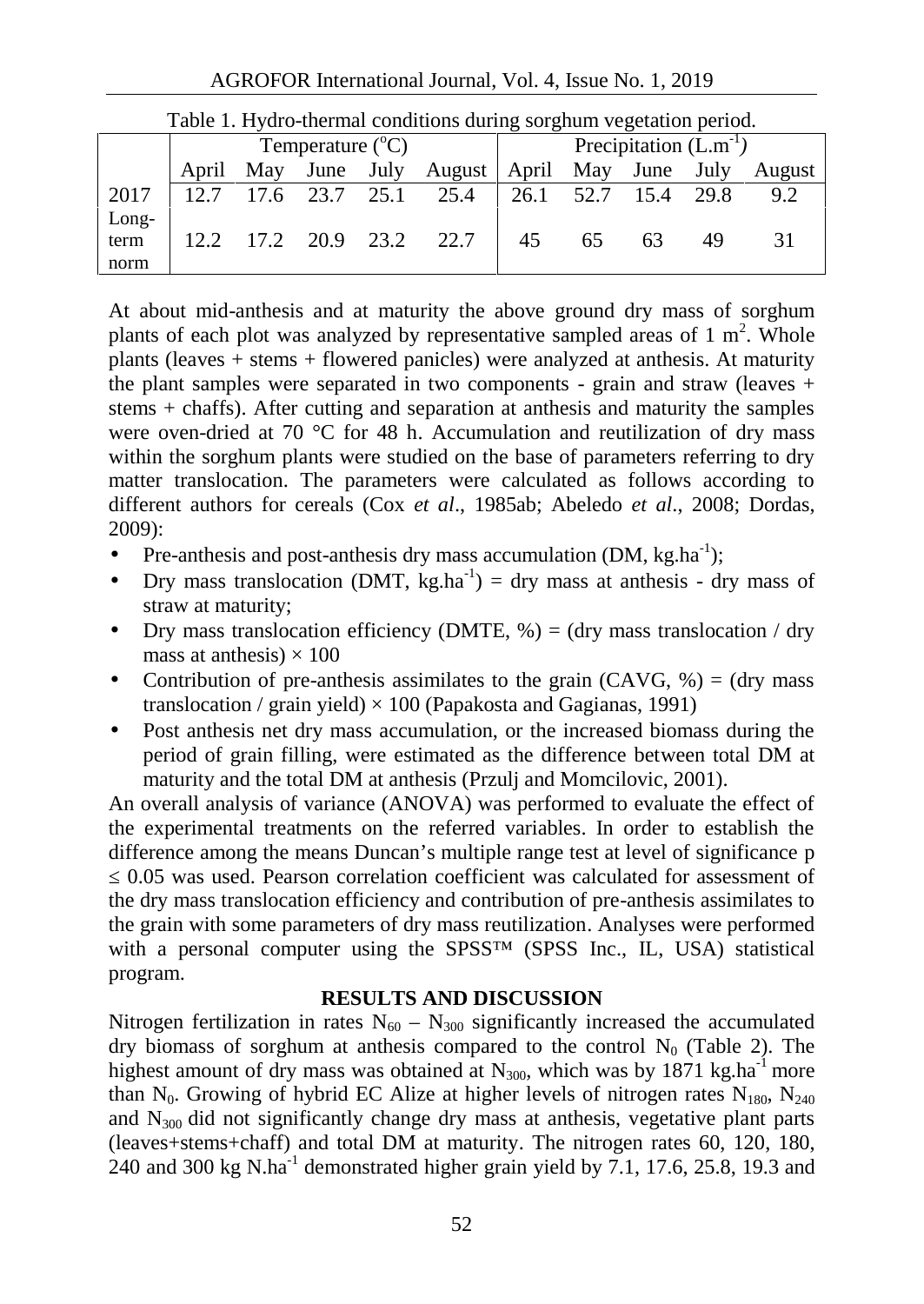| Tuble 1. If you thermal conditions daring sorgham vegetation period. |                           |     |                |  |                            |           |    |      |      |        |
|----------------------------------------------------------------------|---------------------------|-----|----------------|--|----------------------------|-----------|----|------|------|--------|
|                                                                      | Temperature $(^{\circ}C)$ |     |                |  | Precipitation $(L.m^{-1})$ |           |    |      |      |        |
|                                                                      | April                     | May | June July      |  | August April May June July |           |    |      |      | August |
| 2017                                                                 | 12.7                      |     | 17.6 23.7 25.1 |  | 25.4                       | 26.1 52.7 |    | 15.4 | 29.8 | 9.2    |
| Long-                                                                |                           |     |                |  |                            |           |    |      |      |        |
| term                                                                 |                           |     |                |  | 12.2 17.2 20.9 23.2 22.7   | 45        | 65 | 63   | 49   |        |
| norm                                                                 |                           |     |                |  |                            |           |    |      |      |        |

Table 1. Hydro-thermal conditions during sorghum vegetation period.

At about mid-anthesis and at maturity the above ground dry mass of sorghum plants of each plot was analyzed by representative sampled areas of  $1 \text{ m}^2$ . Whole plants (leaves + stems + flowered panicles) were analyzed at anthesis. At maturity the plant samples were separated in two components - grain and straw (leaves  $+$ stems + chaffs). After cutting and separation at anthesis and maturity the samples were oven-dried at 70 °C for 48 h. Accumulation and reutilization of dry mass within the sorghum plants were studied on the base of parameters referring to dry matter translocation. The parameters were calculated as follows according to different authors for cereals (Cox *et al*., 1985ab; Abeledo *et al*., 2008; Dordas, 2009):

- Pre-anthesis and post-anthesis dry mass accumulation  $(DM, kg, ha^{-1})$ ;
- Dry mass translocation (DMT, kg.ha<sup>-1</sup>) = dry mass at anthesis dry mass of straw at maturity;
- Dry mass translocation efficiency (DMTE,  $\%$ ) = (dry mass translocation / dry mass at anthesis)  $\times$  100
- Contribution of pre-anthesis assimilates to the grain (CAVG,  $\%$ ) = (dry mass translocation / grain yield)  $\times$  100 (Papakosta and Gagianas, 1991)
- Post anthesis net dry mass accumulation, or the increased biomass during the period of grain filling, were estimated as the difference between total DM at maturity and the total DM at anthesis (Przulj and Momcilovic, 2001).

An overall analysis of variance (ANOVA) was performed to evaluate the effect of the experimental treatments on the referred variables. In order to establish the difference among the means Duncan's multiple range test at level of significance p

0.05 was used. Pearson correlation coefficient was calculated for assessment of the dry mass translocation efficiency and contribution of pre-anthesis assimilates to the grain with some parameters of dry mass reutilization. Analyses were performed with a personal computer using the SPSS™ (SPSS Inc., IL, USA) statistical program.

## **RESULTS AND DISCUSSION**

Nitrogen fertilization in rates  $N_{60} - N_{300}$  significantly increased the accumulated dry biomass of sorghum at anthesis compared to the control  $N_0$  (Table 2). The highest amount of dry mass was obtained at  $N_{300}$ , which was by 1871 kg.ha<sup>-1</sup> more than N<sub>0</sub>. Growing of hybrid EC Alize at higher levels of nitrogen rates N<sub>180</sub>, N<sub>240</sub> and  $N_{300}$  did not significantly change dry mass at anthesis, vegetative plant parts (leaves+stems+chaff) and total DM at maturity. The nitrogen rates 60, 120, 180, 240 and 300 kg N.ha<sup>-1</sup> demonstrated higher grain yield by 7.1, 17.6, 25.8, 19.3 and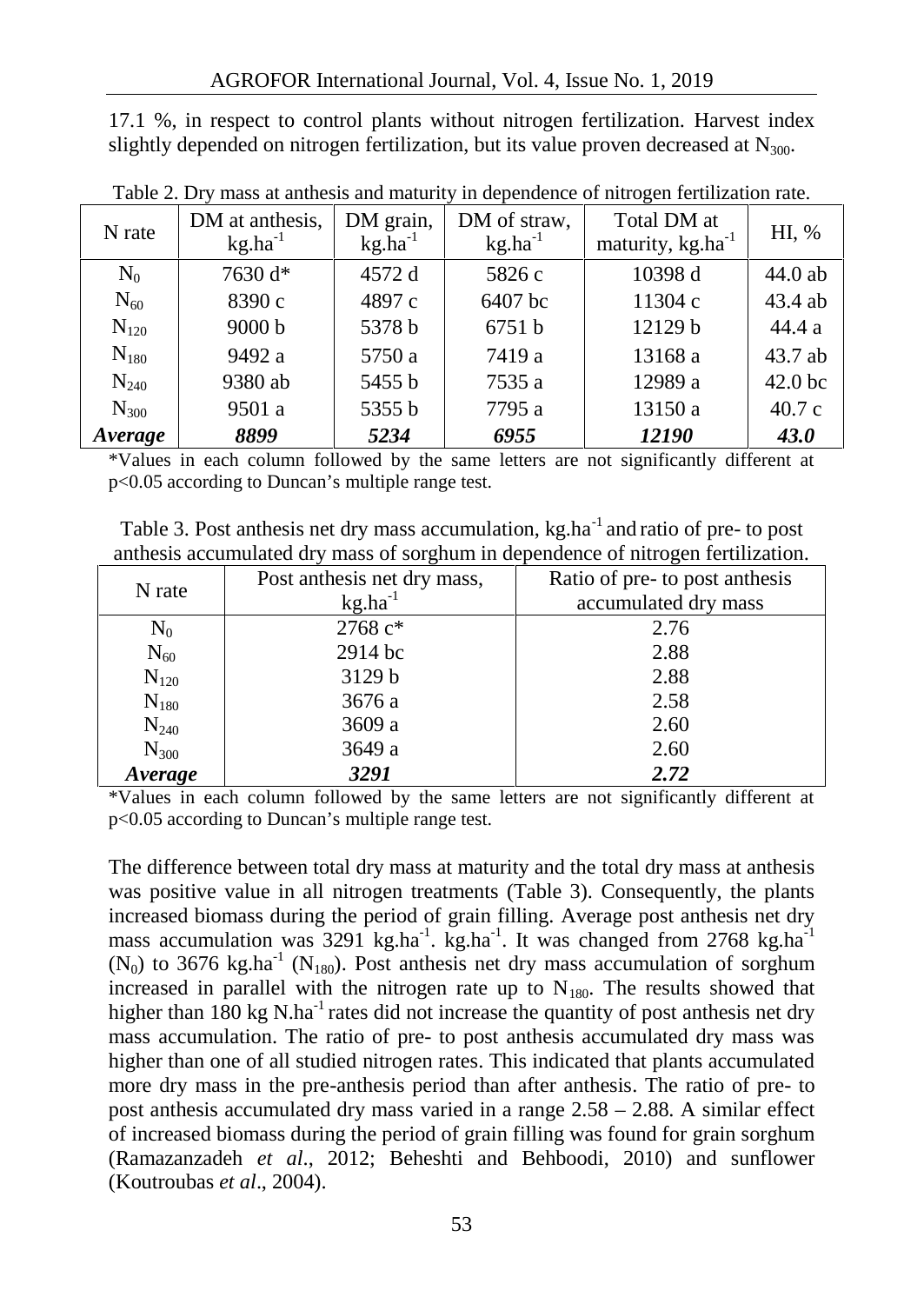17.1 %, in respect to control plants without nitrogen fertilization. Harvest index slightly depended on nitrogen fertilization, but its value proven decreased at  $N_{300}$ .

|  | N rate    | DM at anthesis, | DM grain,    | DM of straw, | Total DM at            | HI, %              |
|--|-----------|-----------------|--------------|--------------|------------------------|--------------------|
|  |           | $kg.ha^{-1}$    | $kg.ha^{-1}$ | $kg.ha^{-1}$ | maturity, $kg.ha^{-1}$ |                    |
|  | $\rm N_0$ | 7630 d*         | 4572 d       | 5826 c       | 10398 d                | 44.0 ab            |
|  | $N_{60}$  | 8390 c          | 4897 c       | 6407 bc      | 11304 c                | 43.4 ab            |
|  | $N_{120}$ | 9000 b          | 5378 b       | 6751 b       | 12129 b                | 44.4 a             |
|  | $N_{180}$ | 9492 a          | 5750 a       | 7419 a       | 13168 a                | 43.7 ab            |
|  | $N_{240}$ | 9380 ab         | 5455 b       | 7535 a       | 12989 a                | 42.0 <sub>bc</sub> |
|  | $N_{300}$ | 9501 a          | 5355 b       | 7795 a       | 13150 a                | 40.7c              |
|  | Average   | 8899            | 5234         | 6955         | 12190                  | <b>43.0</b>        |

Table 2. Dry mass at anthesis and maturity in dependence of nitrogen fertilization rate.

\*Values in each column followed by the same letters are not significantly different at p<0.05 according to Duncan's multiple range test.

Table 3. Post anthesis net dry mass accumulation, kg.ha<sup>-1</sup> and ratio of pre- to post anthesis accumulated dry mass of sorghum in dependence of nitrogen fertilization.

| N rate    | Post anthesis net dry mass, | Ratio of pre- to post anthesis |
|-----------|-----------------------------|--------------------------------|
|           | $kg.ha^{-1}$                | accumulated dry mass           |
| $\rm N_0$ | 2768 c*                     | 2.76                           |
| $N_{60}$  | 2914 bc                     | 2.88                           |
| $N_{120}$ | 3129 b                      | 2.88                           |
| $N_{180}$ | 3676 a                      | 2.58                           |
| $N_{240}$ | 3609 a                      | 2.60                           |
| $N_{300}$ | 3649 a                      | 2.60                           |
| Average   | 3291                        | 2.72                           |

\*Values in each column followed by the same letters are not significantly different at p<0.05 according to Duncan's multiple range test.

The difference between total dry mass at maturity and the total dry mass at anthesis was positive value in all nitrogen treatments (Table 3). Consequently, the plants increased biomass during the period of grain filling. Average post anthesis net dry mass accumulation was  $3291 \text{ kg.ha}^{-1}$ .  $\text{kg.ha}^{-1}$ . It was changed from  $2768 \text{ kg.ha}^{-1}$  $(N_0)$  to 3676 kg.ha<sup>-1</sup> (N<sub>180</sub>). Post anthesis net dry mass accumulation of sorghum increased in parallel with the nitrogen rate up to  $N_{180}$ . The results showed that higher than  $180 \text{ kg N}.$  ha<sup>-1</sup> rates did not increase the quantity of post anthesis net dry mass accumulation. The ratio of pre- to post anthesis accumulated dry mass was higher than one of all studied nitrogen rates. This indicated that plants accumulated more dry mass in the pre-anthesis period than after anthesis. The ratio of pre- to post anthesis accumulated dry mass varied in a range 2.58 – 2.88. A similar effect of increased biomass during the period of grain filling was found for grain sorghum (Ramazanzadeh *et al*., 2012; Beheshti and Behboodi, 2010) and sunflower (Koutroubas *et al*., 2004).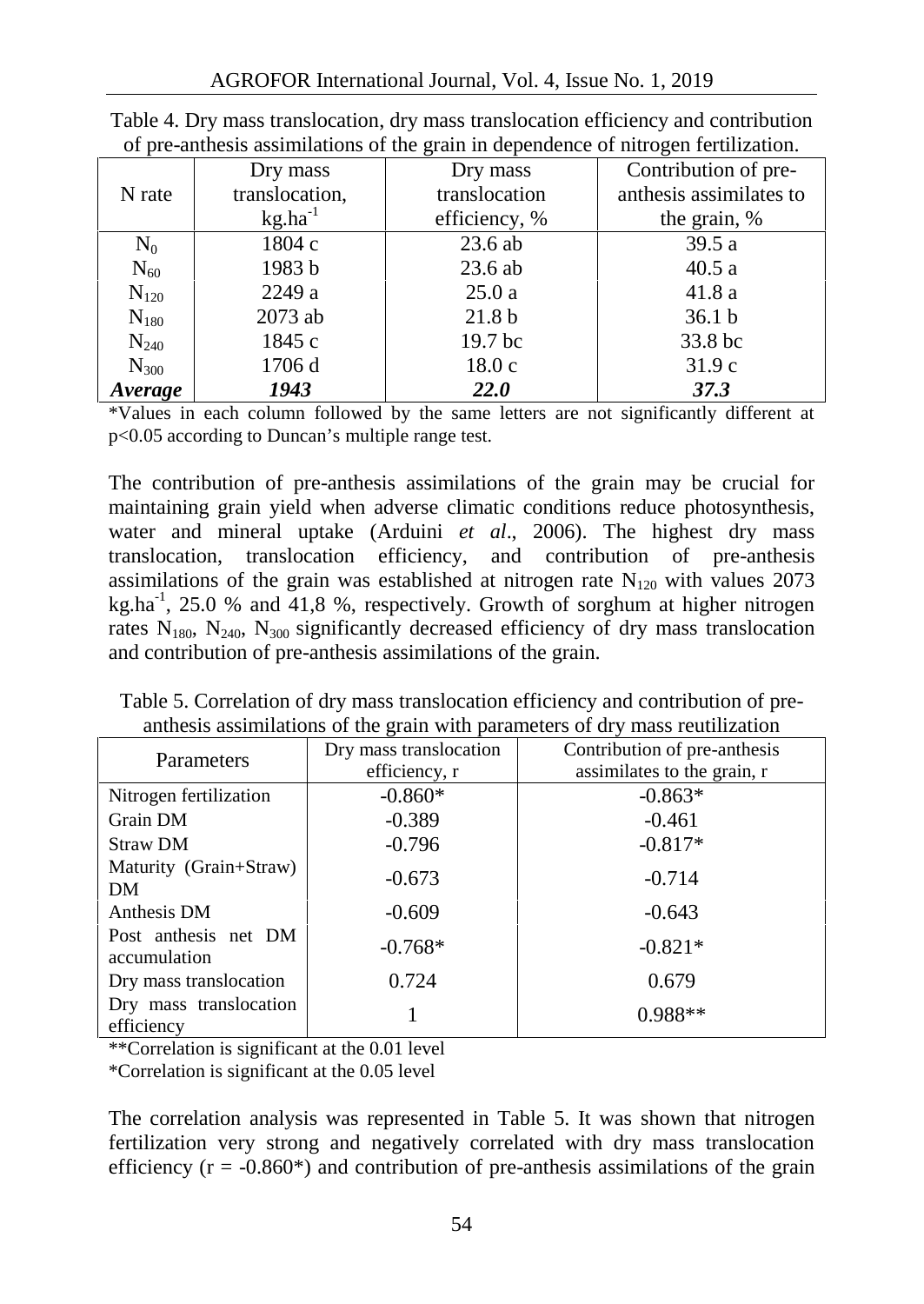|           | Dry mass       | Dry mass           | Contribution of pre-    |
|-----------|----------------|--------------------|-------------------------|
| N rate    | translocation, | translocation      | anthesis assimilates to |
|           | $kg.ha^{-1}$   | efficiency, %      | the grain, %            |
| $\rm N_0$ | 1804 c         | 23.6 ab            | 39.5a                   |
| $N_{60}$  | 1983 b         | $23.6$ ab          | 40.5a                   |
| $N_{120}$ | 2249 a         | 25.0a              | 41.8 a                  |
| $N_{180}$ | 2073 ab        | 21.8 <sub>b</sub>  | 36.1 <sub>b</sub>       |
| $N_{240}$ | 1845 c         | 19.7 <sub>bc</sub> | 33.8 bc                 |
| $N_{300}$ | 1706 d         | 18.0c              | 31.9c                   |
| Average   | 1943           | <b>22.0</b>        | <b>37.3</b>             |

| Table 4. Dry mass translocation, dry mass translocation efficiency and contribution |  |
|-------------------------------------------------------------------------------------|--|
| of pre-anthesis assimilations of the grain in dependence of nitrogen fertilization. |  |

\*Values in each column followed by the same letters are not significantly different at p<0.05 according to Duncan's multiple range test.

The contribution of pre-anthesis assimilations of the grain may be crucial for maintaining grain yield when adverse climatic conditions reduce photosynthesis, water and mineral uptake (Arduini *et al*., 2006). The highest dry mass translocation, translocation efficiency, and contribution of pre-anthesis assimilations of the grain was established at nitrogen rate  $N_{120}$  with values 2073 kg.ha<sup>-1</sup>, 25.0 % and 41,8 %, respectively. Growth of sorghum at higher nitrogen rates  $N_{180}$ ,  $N_{240}$ ,  $N_{300}$  significantly decreased efficiency of dry mass translocation and contribution of pre-anthesis assimilations of the grain.

Table 5. Correlation of dry mass translocation efficiency and contribution of pre anthesis assimilations of the grain with parameters of dry mass reutilization

| Parameters                           | Dry mass translocation<br>efficiency, r | Contribution of pre-anthesis<br>assimilates to the grain, r |  |  |
|--------------------------------------|-----------------------------------------|-------------------------------------------------------------|--|--|
| Nitrogen fertilization               | $-0.860*$                               | $-0.863*$                                                   |  |  |
| Grain DM                             | $-0.389$                                | $-0.461$                                                    |  |  |
| <b>Straw DM</b>                      | $-0.796$                                | $-0.817*$                                                   |  |  |
| Maturity (Grain+Straw)<br>DM         | $-0.673$                                | $-0.714$                                                    |  |  |
| Anthesis DM                          | $-0.609$                                | $-0.643$                                                    |  |  |
| Post anthesis net DM<br>accumulation | $-0.768*$                               | $-0.821*$                                                   |  |  |
| Dry mass translocation               | 0.724                                   | 0.679                                                       |  |  |
| Dry mass translocation<br>efficiency |                                         | $0.988**$                                                   |  |  |

\*\*Correlation is significant at the 0.01 level

\*Correlation is significant at the 0.05 level

The correlation analysis was represented in Table 5. It was shown that nitrogen fertilization very strong and negatively correlated with dry mass translocation efficiency  $(r = -0.860*)$  and contribution of pre-anthesis assimilations of the grain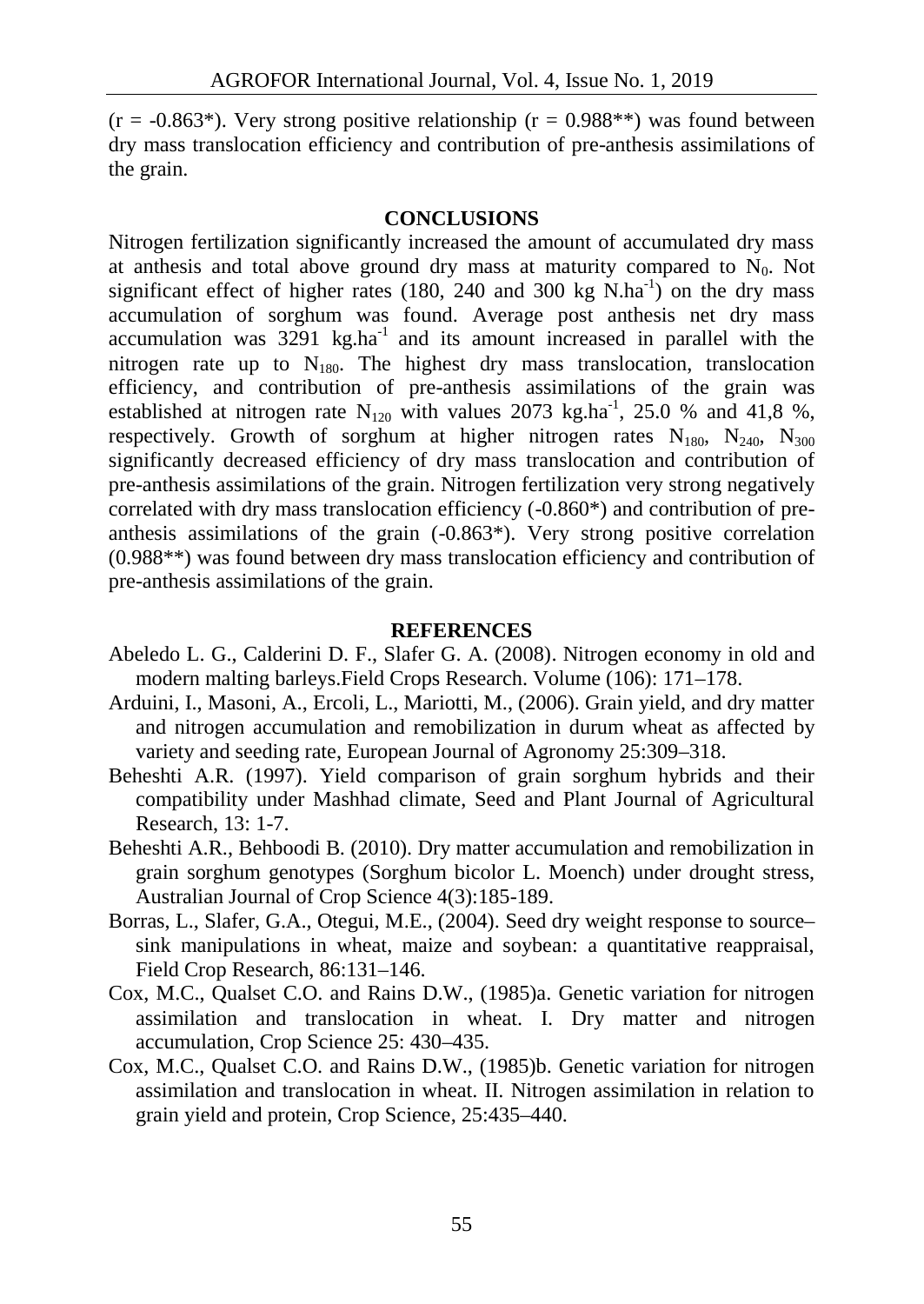$(r = -0.863^*)$ . Very strong positive relationship  $(r = 0.988^{**})$  was found between dry mass translocation efficiency and contribution of pre-anthesis assimilations of the grain.

#### **CONCLUSIONS**

Nitrogen fertilization significantly increased the amount of accumulated dry mass at anthesis and total above ground dry mass at maturity compared to  $N_0$ . Not significant effect of higher rates (180, 240 and 300 kg  $N.ha^{-1}$ ) on the dry mass accumulation of sorghum was found. Average post anthesis net dry mass accumulation was  $3291 \text{ kg.ha}^{-1}$  and its amount increased in parallel with the nitrogen rate up to  $N_{180}$ . The highest dry mass translocation, translocation efficiency, and contribution of pre-anthesis assimilations of the grain was established at nitrogen rate  $N_{120}$  with values 2073 kg.ha<sup>-1</sup>, 25.0 % and 41,8 %, respectively. Growth of sorghum at higher nitrogen rates  $N_{180}$ ,  $N_{240}$ ,  $N_{300}$ significantly decreased efficiency of dry mass translocation and contribution of pre-anthesis assimilations of the grain. Nitrogen fertilization very strong negatively correlated with dry mass translocation efficiency (-0.860\*) and contribution of pre anthesis assimilations of the grain (-0.863\*). Very strong positive correlation (0.988\*\*) was found between dry mass translocation efficiency and contribution of pre-anthesis assimilations of the grain.

#### **REFERENCES**

- Abeledo L. G., Calderini D. F., Slafer G. A. (2008). Nitrogen economy in old and modern malting barleys.Field Crops Research. Volume (106): 171–178.
- Arduini, I., Masoni, A., Ercoli, L., Mariotti, M., (2006). Grain yield, and dry matter and nitrogen accumulation and remobilization in durum wheat as affected by variety and seeding rate, European Journal of Agronomy 25:309–318.
- Beheshti A.R. (1997). Yield comparison of grain sorghum hybrids and their compatibility under Mashhad climate, Seed and Plant Journal of Agricultural Research, 13: 1-7.
- Beheshti A.R., Behboodi B. (2010). Dry matter accumulation and remobilization in grain sorghum genotypes (Sorghum bicolor L. Moench) under drought stress, Australian Journal of Crop Science 4(3):185-189.
- Borras, L., Slafer, G.A., Otegui, M.E., (2004). Seed dry weight response to source– sink manipulations in wheat, maize and soybean: a quantitative reappraisal, Field Crop Research, 86:131–146.
- Cox, M.C., Qualset C.O. and Rains D.W., (1985)a. Genetic variation for nitrogen assimilation and translocation in wheat. I. Dry matter and nitrogen accumulation, Crop Science 25: 430–435.
- Cox, M.C., Qualset C.O. and Rains D.W., (1985)b. Genetic variation for nitrogen assimilation and translocation in wheat. II. Nitrogen assimilation in relation to grain yield and protein, Crop Science, 25:435–440.